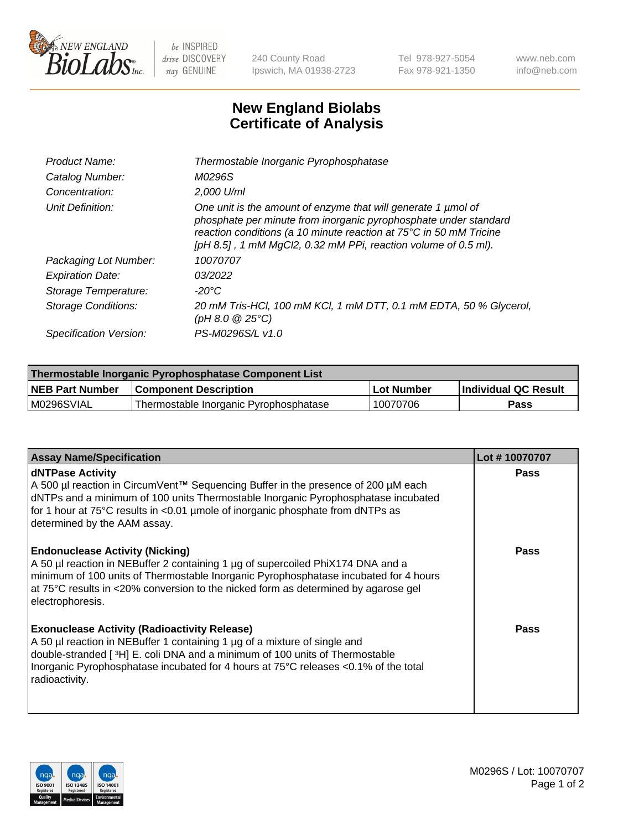

 $be$  INSPIRED drive DISCOVERY stay GENUINE

240 County Road Ipswich, MA 01938-2723 Tel 978-927-5054 Fax 978-921-1350 www.neb.com info@neb.com

## **New England Biolabs Certificate of Analysis**

| Product Name:              | Thermostable Inorganic Pyrophosphatase                                                                                                                                                                                                                                    |
|----------------------------|---------------------------------------------------------------------------------------------------------------------------------------------------------------------------------------------------------------------------------------------------------------------------|
| Catalog Number:            | M0296S                                                                                                                                                                                                                                                                    |
| Concentration:             | $2.000$ U/ml                                                                                                                                                                                                                                                              |
| Unit Definition:           | One unit is the amount of enzyme that will generate 1 µmol of<br>phosphate per minute from inorganic pyrophosphate under standard<br>reaction conditions (a 10 minute reaction at 75°C in 50 mM Tricine<br>[pH 8.5], 1 mM MgCl2, 0.32 mM PPi, reaction volume of 0.5 ml). |
| Packaging Lot Number:      | 10070707                                                                                                                                                                                                                                                                  |
| <b>Expiration Date:</b>    | 03/2022                                                                                                                                                                                                                                                                   |
| Storage Temperature:       | $-20^{\circ}$ C                                                                                                                                                                                                                                                           |
| <b>Storage Conditions:</b> | 20 mM Tris-HCl, 100 mM KCl, 1 mM DTT, 0.1 mM EDTA, 50 % Glycerol,<br>(pH 8.0 $@25°C$ )                                                                                                                                                                                    |
| Specification Version:     | PS-M0296S/L v1.0                                                                                                                                                                                                                                                          |

| Thermostable Inorganic Pyrophosphatase Component List |                                        |              |                      |  |
|-------------------------------------------------------|----------------------------------------|--------------|----------------------|--|
| NEB Part Number                                       | <b>Component Description</b>           | l Lot Number | Individual QC Result |  |
| M0296SVIAL                                            | Thermostable Inorganic Pyrophosphatase | 10070706     | Pass                 |  |

| <b>Assay Name/Specification</b>                                                                                                                                                                                                                                                                                             | Lot #10070707 |
|-----------------------------------------------------------------------------------------------------------------------------------------------------------------------------------------------------------------------------------------------------------------------------------------------------------------------------|---------------|
| <b>dNTPase Activity</b><br>A 500 µl reaction in CircumVent™ Sequencing Buffer in the presence of 200 µM each<br>dNTPs and a minimum of 100 units Thermostable Inorganic Pyrophosphatase incubated<br>for 1 hour at 75°C results in <0.01 µmole of inorganic phosphate from dNTPs as<br>determined by the AAM assay.         | <b>Pass</b>   |
| <b>Endonuclease Activity (Nicking)</b><br>A 50 µl reaction in NEBuffer 2 containing 1 µg of supercoiled PhiX174 DNA and a<br>minimum of 100 units of Thermostable Inorganic Pyrophosphatase incubated for 4 hours<br>at 75°C results in <20% conversion to the nicked form as determined by agarose gel<br>electrophoresis. | <b>Pass</b>   |
| <b>Exonuclease Activity (Radioactivity Release)</b><br>A 50 µl reaction in NEBuffer 1 containing 1 µg of a mixture of single and<br>double-stranded [3H] E. coli DNA and a minimum of 100 units of Thermostable<br>Inorganic Pyrophosphatase incubated for 4 hours at 75°C releases <0.1% of the total<br>radioactivity.    | <b>Pass</b>   |